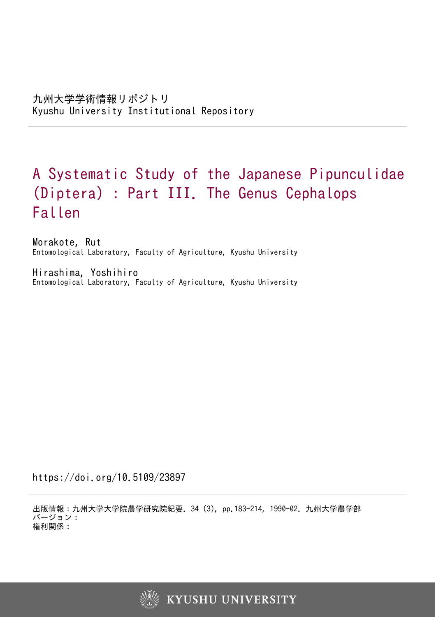# A Systematic Study of the Japanese Pipunculidae (Diptera) : Part III. The Genus Cephalops Fallen

Morakote, Rut Entomological Laboratory, Faculty of Agriculture, Kyushu University

Hirashima, Yoshihiro Entomological Laboratory, Faculty of Agriculture, Kyushu University

https://doi.org/10.5109/23897

出版情報:九州大学大学院農学研究院紀要. 34 (3), pp.183-214, 1990-02. 九州大学農学部 バージョン: 権利関係:

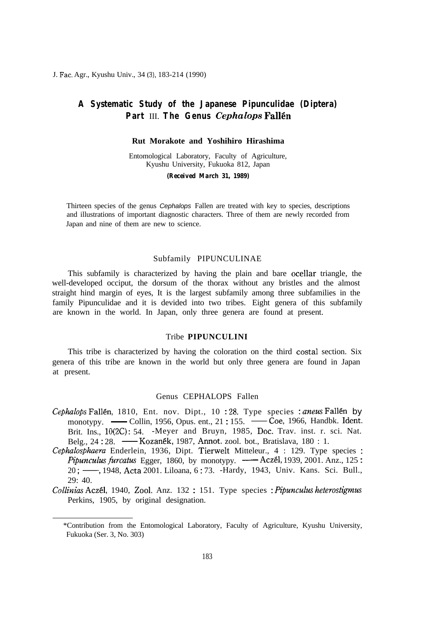J. Fac. Agr., Kyushu Univ., 34 (3), 183-214 (1990)

## **A Systematic Study of the Japanese Pipunculidae (Diptera) Part** III. **The Genus** *Cephalops* **Fallen**

#### **Rut Morakote and Yoshihiro Hirashima**

Entomological Laboratory, Faculty of Agriculture, Kyushu University, Fukuoka 812, Japan

#### *(Received March 31, 1989)*

Thirteen species of the genus *Cephalops* Fallen are treated with key to species, descriptions and illustrations of important diagnostic characters. Three of them are newly recorded from Japan and nine of them are new to science.

#### Subfamily PIPUNCULINAE

This subfamily is characterized by having the plain and bare ocellar triangle, the well-developed occiput, the dorsum of the thorax without any bristles and the almost straight hind margin of eyes, It is the largest subfamily among three subfamilies in the family Pipunculidae and it is devided into two tribes. Eight genera of this subfamily are known in the world. In Japan, only three genera are found at present.

#### Tribe **PIPUNCULINI**

This tribe is characterized by having the coloration on the third costal section. Six genera of this tribe are known in the world but only three genera are found in Japan at present.

#### Genus CEPHALOPS Fallen

- *Cephalops* Fallen, 1810, Ent. nov. Dipt., 10:28. Type species : anews Fallen by Genus CEPHALOPS Fallen<br>
valops Fallén, 1810, Ent. nov. Dipt., 10 : 28. Type species : aneus Fallén by<br>
monotypy. — Collin, 1956, Opus. ent., 21 : 155. — Coe, 1966, Handbk. Ident.<br>
Brit. Ins., 10(2C): 54. -Meyer and Bruyn, Brit. Ins., 10(2C): 54. -Meyer and Bruyn, 1985, Doc. Trav. inst. r. sci. Nat.<br>Belg., 24:28. — Kozanék, 1987, Annot. zool. bot., Bratislava, 180: 1. *ualops* Fallén, 1810, Ent. nov. Dipt., 10 : 28. Type species : aneus F<br>monotypy. — Collin, 1956, Opus. ent., 21 : 155. — Coe, 1966, Hand<br>Brit. Ins., 10(2C): 54. -Meyer and Bruyn, 1985, Doc. Trav. inst. r.<br>Belg., 24 : 28.
- Cephalosphaera Enderlein, 1936, Dipt. Tierwelt Mitteleur., 4 : 129. Type species : *Brit.* Ins., 10(2C): 54. -Meyer and Bruyn, 1985, Doc. Trav. inst. r. sci. Nat. Belg., 24:28. — Kozanék, 1987, Annot. zool. bot., Bratislava, 180: 1.<br> *ialosphaera* Enderlein, 1936, Dipt. Tierwelt Mitteleur., 4: 129. Type 29: 40.

Collinias Aczél, 1940, Zool. Anz. 132 : 151. Type species : Pipunculus heterostigmus Perkins, 1905, by original designation.

<sup>\*</sup>Contribution from the Entomological Laboratory, Faculty of Agriculture, Kyushu University, Fukuoka (Ser. 3, No. 303)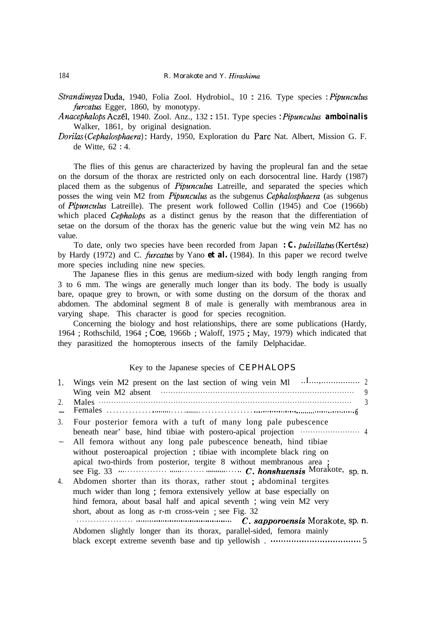*Strandirnyza* Duda, 1940, Folia Zool. Hydrobiol., 10 : 216. Type species : *Pipuncuhs furcatus* Egger, 1860, by monotypy.

*Anacephalops* Aczel, 1940. Zool. Anz., 132 : 151. Type species : *Pipunculus amboinalis* Walker, 1861, by original designation.

*Dorikzs (Cephalosphaera)* : Hardy, 1950, Exploration du Part Nat. Albert, Mission G. F. de Witte, 62 : 4.

The flies of this genus are characterized by having the propleural fan and the setae on the dorsum of the thorax are restricted only on each dorsocentral line. Hardy (1987) placed them as the subgenus of *Pipunculus* Latreille, and separated the species which posses the wing vein M2 from *Pipuncuhs* as the subgenus *Cephulosphaera* (as subgenus of *Pipunculus* Latreille). The present work followed Collin (1945) and Coe (1966b) which placed Cephalops as a distinct genus by the reason that the differentiation of setae on the dorsum of the thorax has the generic value but the wing vein M2 has no value.

To date, only two species have been recorded from Japan *: C. pulvillatus* (Kertész) by Hardy (1972) and C. *furcatus* by Yano *et al.* (1984). In this paper we record twelve more species including nine new species.

The Japanese flies in this genus are medium-sized with body length ranging from 3 to 6 mm. The wings are generally much longer than its body. The body is usually bare, opaque grey to brown, or with some dusting on the dorsum of the thorax and abdomen. The abdominal segment 8 of male is generally with membranous area in varying shape. This character is good for species recognition.

Concerning the biology and host relationships, there are some publications (Hardy, 1964 ; Rothschild, 1964 ; Coe, 1966b ; Waloff, 1975 ; May, 1979) which indicated that they parasitized the homopterous insects of the family Delphacidae.

#### Key to the Japanese species of CEPHALOPS

|    | 1. Wings vein M2 present on the last section of wing vein M1                  |
|----|-------------------------------------------------------------------------------|
|    | 9<br>Wing vein M2 absent                                                      |
| 2. | $\mathcal{F}$                                                                 |
| 3. | Four posterior femora with a tuft of many long pale pubescence                |
|    | beneath near' base, hind tibiae with postero-apical projection manufactured 4 |
|    | - All femora without any long pale pubescence beneath, hind tibiae            |
|    | without posteroapical projection; tibiae with incomplete black ring on        |
|    | apical two-thirds from posterior, tergite 8 without membranous area;          |
|    |                                                                               |
| 4. | Abdomen shorter than its thorax, rather stout; abdominal tergites             |
|    | much wider than long; femora extensively yellow at base especially on         |
|    | hind femora, about basal half and apical seventh; wing vein M2 very           |
|    | short, about as long as r-m cross-vein; see Fig. 32                           |
|    |                                                                               |
|    | Abdomen slightly longer than its thorax, parallel-sided, femora mainly        |
|    |                                                                               |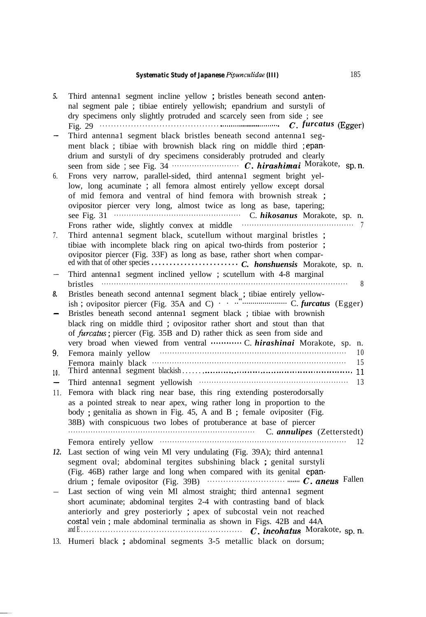# **Systematic Study of Japanese** Pipunculidae (III) 185

| 5.  | Third antennal segment incline yellow; bristles beneath second anten-<br>nal segment pale ; tibiae entirely yellowish; epandrium and surstyli of                                                                                                                                                                                                                                                         |
|-----|----------------------------------------------------------------------------------------------------------------------------------------------------------------------------------------------------------------------------------------------------------------------------------------------------------------------------------------------------------------------------------------------------------|
|     | dry specimens only slightly protruded and scarcely seen from side ; see<br>Fig. 29 $\cdots$ Example 20 $\cdots$ Example 20 $\cdots$ $\cdots$ $\cdots$ $\cdots$ $\cdots$ $\cdots$ $\cdots$ $\cdots$ $\cdots$ $\cdots$ $\cdots$ $\cdots$ $\cdots$ $\cdots$ $\cdots$ $\cdots$ $\cdots$ $\cdots$ $\cdots$ $\cdots$ $\cdots$ $\cdots$ $\cdots$ $\cdots$ $\cdots$ $\cdots$ $\cdots$ $\cdots$ $\cdots$ $\cdots$ |
|     | Third antennal segment black bristles beneath second antennal seg-<br>ment black ; tibiae with brownish black ring on middle third ; epan-<br>drium and surstyli of dry specimens considerably protruded and clearly                                                                                                                                                                                     |
| 6.  | Frons very narrow, parallel-sided, third antennal segment bright yel-<br>low, long acuminate ; all femora almost entirely yellow except dorsal<br>of mid femora and ventral of hind femora with brownish streak ;<br>ovipositor piercer very long, almost twice as long as base, tapering;<br>Frons rather wide, slightly convex at middle                                                               |
| 7.  | Third antennal segment black, scutellum without marginal bristles;<br>tibiae with incomplete black ring on apical two-thirds from posterior;<br>ovipositor piercer (Fig. 33F) as long as base, rather short when compar-                                                                                                                                                                                 |
|     | Third antennal segment inclined yellow ; scutellum with 4-8 marginal<br>8<br><b>bristles</b>                                                                                                                                                                                                                                                                                                             |
| 8.  | Bristles beneath second antennal segment black ; tibiae entirely yellow-                                                                                                                                                                                                                                                                                                                                 |
|     | Bristles beneath second antennal segment black ; tibiae with brownish<br>black ring on middle third; ovipositor rather short and stout than that<br>of furcatus; piercer (Fig. 35B and D) rather thick as seen from side and<br>very broad when viewed from ventral  C. hirashinai Morakote, sp.<br>n.                                                                                                   |
| 9.  | Femora mainly yellow www.communication.com/<br>10<br>15                                                                                                                                                                                                                                                                                                                                                  |
| 10. |                                                                                                                                                                                                                                                                                                                                                                                                          |
|     | Third antenna1 segment yellowish www.communities.com<br>13                                                                                                                                                                                                                                                                                                                                               |
| 11. | Femora with black ring near base, this ring extending posterodorsally<br>as a pointed streak to near apex, wing rather long in proportion to the<br>body; genitalia as shown in Fig. 45, A and B; female ovipositer (Fig.<br>38B) with conspicuous two lobes of protuberance at base of piercer                                                                                                          |
|     | C. annulipes (Zetterstedt)                                                                                                                                                                                                                                                                                                                                                                               |
|     | Femora entirely yellow www.communications.com<br>12                                                                                                                                                                                                                                                                                                                                                      |
| 12. | Last section of wing vein Ml very undulating (Fig. 39A); third antennal<br>segment oval; abdominal tergites subshining black ; genital surstyli<br>(Fig. 46B) rather large and long when compared with its genital epan-<br>drium; female ovipositor (Fig. 39B) $\cdots$ $\cdots$ $\cdots$ $\cdots$ $\cdots$ $\cdots$ $\cdots$ $\cdots$ $\cdots$ $\cdots$ $C.$ aneus Fallen                              |
|     | Last section of wing vein Ml almost straight; third antenna1 segment<br>short acuminate; abdominal tergites 2-4 with contrasting band of black<br>anteriorly and grey posteriorly ; apex of subcostal vein not reached<br>costal vein; male abdominal terminalia as shown in Figs. 42B and 44A                                                                                                           |
|     | 13. Humeri black ; abdominal segments 3-5 metallic black on dorsum;                                                                                                                                                                                                                                                                                                                                      |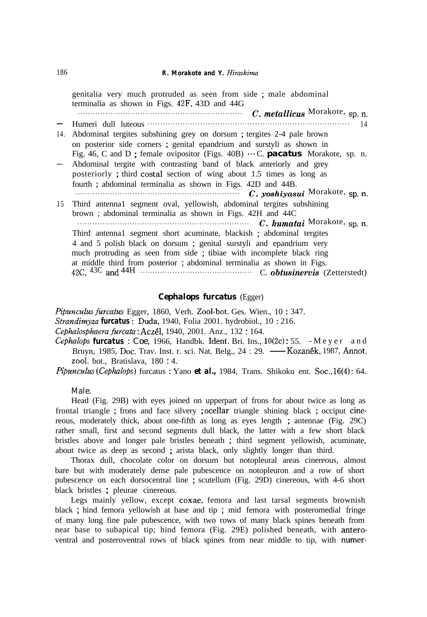- 14. Abdominal tergites subshining grey on dorsum ; tergites 2-4 pale brown - 15 Third antenna1 segment oval, yellowish, abdominal tergites subshining genitalia very much protruded as seen from side ; male abdominal terminalia as shown in Figs. 42F, 43D and 44G . . . . . . . . . . . . . . . . . . . . . . . . . . . . . . . . . . . . . . . . . . . . . . . . . . . . . . . . . . . . . . . . . . C. metallicus Morakote, sp. n. Humeri dull luteous . . . . . . . . . . . . . . . . . . . . . . . . . . . . . . . . . . . . . . . . . . . . . . . . . . . . . . . . . . . . . . . . . . . . . . . . . . . . . . . . . 14 on posterior side corners ; genital epandrium and surstyli as shown in Fig. 46, C and D; female ovipositor (Figs. 40B)  $\cdots$  C. **pacatus** Morakote, sp. n. Abdominal tergite with contrasting band of black anteriorly and grey posteriorly ; third costal section of wing about 1.5 times as long as fourth ; abdominal terminalia as shown in Figs. 42D and 44B. . . . . . . . . . . . . . . . . . . . . . . . . . . . . . . . . . . . . . . . . . . . . . . . . . . . . . . . . . . . . . . . . . . C. yoshiyasui Morakote, sp. n. brown ; abdominal terminalia as shown in Figs. 42H and 44C . . . . . . . . . . . . . . . . . . . . . . . . . . . . . . . . . . . . . . . . . . . . . . . . . . . . . . . . . . . . . . . . . . . . . C. kumatai Morakote, sp. n\_ Third antenna1 segment short acuminate, blackish ; abdominal tergites 4 and 5 polish black on dorsum ; genital surstyli and epandrium very much protruding as seen from side ; tibiae with incomplete black ring at middle third from posterior ; abdominal terminalia as shown in Figs. 42C, 43C and 44H . . . . . . . . . . . . . . . . . . . . . . . . . . . . . . . . . . . . . . . . . . . . . C. *obtusineruis* (Zetterstedt)

#### *Cephalops furcatus* (Egger)

*Pipuncuhs furcutus* Egger, 1860, Verh. Zool-bot. Ges. Wien., 10 : 347.

- *Strandimyza furcatus* : Duda, 1940, Folia 2001. hydrobiol., 10 : 216.
- Cephalosphaera *furcah* : Aczel, 1940, 2001. Anz., 132 : 164.
- Cephalosphaera Jarcatus : Coe, 1966, Handbk. Ident. Bri. Ins., 10(2c): 55. Meyer and<br>Cephalops **furcatus** : Coe, 1966, Handbk. Ident. Bri. Ins., 10(2c): 55. Meyer and<br>Bruyn, 1985, Doc. Trav. Inst. r. sci. Nat. Belg., 2 2001. bot., Bratislava, 180 : 4.

*Pipunculus* (*Cephalops*) furcatus : Yano **et al.**, 1984, Trans. Shikoku ent. Soc., 16(4): 64.

Male.

Head (Fig. 29B) with eyes joined on upperpart of frons for about twice as long as frontal triangle ; frons and face silvery ; ocellar triangle shining black ; occiput cinereous, moderately thick, about one-fifth as long as eyes length ; antennae (Fig. 29C) rather small, first and second segments dull black, the latter with a few short black bristles above and longer pale bristles beneath ; third segment yellowish, acuminate, about twice as deep as second ; arista black, only slightly longer than third.

Thorax dull, chocolate color on dorsum but notopleural areas cinereous, almost bare but with moderately dense pale pubescence on notopleuron and a row of short pubescence on each dorsocentral line ; scutellum (Fig. 29D) cinereous, with 4-6 short black bristles ; pleurae cinereous.

Legs mainly yellow, except coxae, femora and last tarsal segments brownish black ; hind femora yellowish at base and tip ; mid femora with posteromedial fringe of many long fine pale pubescence, with two rows of many black spines beneath from near base to subapical tip; hind femora (Fig. 29E) polished beneath, with anteroventral and posteroventral rows of black spines from near middle to tip, with numer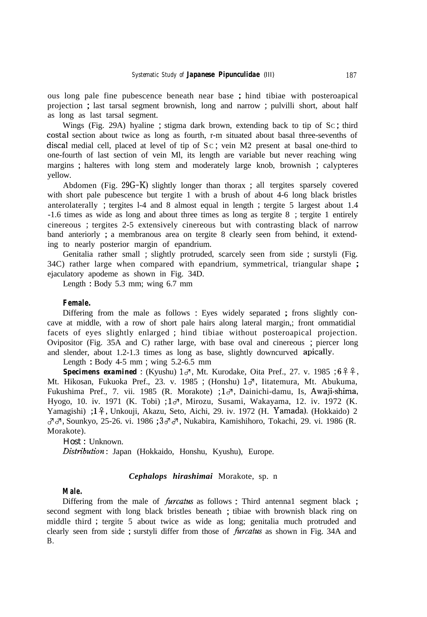ous long pale fine pubescence beneath near base ; hind tibiae with posteroapical projection ; last tarsal segment brownish, long and narrow ; pulvilli short, about half as long as last tarsal segment.

Wings (Fig. 29A) hyaline ; stigma dark brown, extending back to tip of SC ; third costal section about twice as long as fourth, r-m situated about basal three-sevenths of discal medial cell, placed at level of tip of  $Sc$ ; vein  $M2$  present at basal one-third to one-fourth of last section of vein Ml, its length are variable but never reaching wing margins ; halteres with long stem and moderately large knob, brownish ; calypteres yellow.

Abdomen (Fig. 29G-K) slightly longer than thorax ; all tergites sparsely covered with short pale pubescence but tergite 1 with a brush of about 4-6 long black bristles anterolaterally ; tergites l-4 and 8 almost equal in length ; tergite 5 largest about 1.4 -1.6 times as wide as long and about three times as long as tergite 8 ; tergite 1 entirely cinereous ; tergites 2-5 extensively cinereous but with contrasting black of narrow band anteriorly ; a membranous area on tergite 8 clearly seen from behind, it extending to nearly posterior margin of epandrium.

Genitalia rather small ; slightly protruded, scarcely seen from side ; surstyli (Fig. 34C) rather large when compared with epandrium, symmetrical, triangular shape ; ejaculatory apodeme as shown in Fig. 34D.

Length : Body 5.3 mm; wing 6.7 mm

#### **Female.**

Differing from the male as follows : Eyes widely separated ; frons slightly concave at middle, with a row of short pale hairs along lateral margin,; front ommatidial facets of eyes slightly enlarged ; hind tibiae without posteroapical projection. Ovipositor (Fig. 35A and C) rather large, with base oval and cinereous ; piercer long and slender, about 1.2-1.3 times as long as base, slightly downcurved apically.

Length : Body 4-5 mm ; wing 5.2-6.5 mm

**Specimens examined**: (Kyushu)  $1\sigma$ , Mt. Kurodake, Oita Pref., 27. v. 1985 ;  $6\sigma$  <del>?</del>  $\hat{ }$ , Mt. Hikosan, Fukuoka Pref., 23. v. 1985 ; (Honshu)  $1\sigma$ , Iitatemura, Mt. Abukuma, Fukushima Pref., 7. vii. 1985 (R. Morakote) ; 1d, Dainichi-damu, Is, Awaji-shima, Hyogo, 10. iv. 1971 (K. Tobi) ; 13, Mirozu, Susami, Wakayama, 12. iv. 1972 (K. Yamagishi) ; 19, Unkouji, Akazu, Seto, Aichi, 29. iv. 1972 (H. Yamada). (Hokkaido) 2 3 3, Sounkyo, 25-26. vi. 1986 ; 33 3, Nukabira, Kamishihoro, Tokachi, 29. vi. 1986 (R. Morakote).

#### *Host* : Unknown.

*Disttibution* : Japan (Hokkaido, Honshu, Kyushu), Europe.

#### *Cephalops hirashimai* Morakote, sp. n

#### **Male.**

Differing from the male of *furcatus* as follows : Third antenna1 segment black ; second segment with long black bristles beneath ; tibiae with brownish black ring on middle third ; tergite 5 about twice as wide as long; genitalia much protruded and clearly seen from side; surstyli differ from those of *furcatus* as shown in Fig. 34A and B.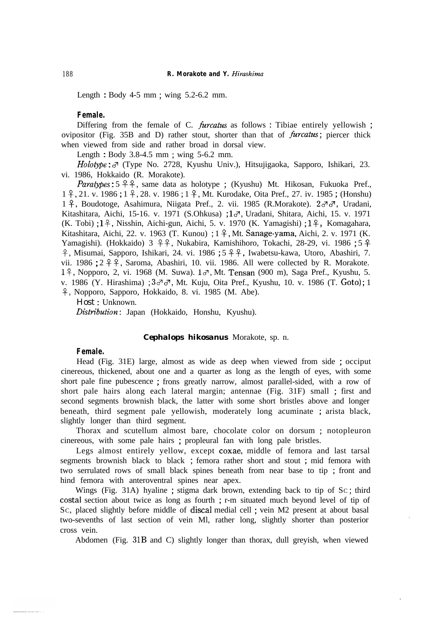Length : Body 4-5 mm ; wing 5.2-6.2 mm.

#### **Female.**

Differing from the female of C. *furcatus* as follows : Tibiae entirely yellowish ; ovipositor (Fig. 35B and D) rather stout, shorter than that of *furcatus*; piercer thick when viewed from side and rather broad in dorsal view.

Length : Body 3.8-4.5 mm ; wing 5-6.2 mm.

*Holotype* :  $\sigma$ <sup>7</sup> (Type No. 2728, Kyushu Univ.), Hitsujigaoka, Sapporo, Ishikari, 23. vi. 1986, Hokkaido (R. Morakote).

*Paratypes* : 5  $9$   $9$ , same data as holotype; (Kyushu) Mt. Hikosan, Fukuoka Pref., 1 f, 21. v. 1986 ; 1 f, 28. v. 1986 ; 1 f, Mt. Kurodake, Oita Pref., 27. iv. 1985 ; (Honshu) 1 <sup>2</sup>, Boudotoge, Asahimura, Niigata Pref., 2. vii. 1985 (R.Morakote). 2do<sup>7</sup>, Uradani, Kitashitara, Aichi, 15-16. v. 1971 (S.Ohkusa) ; 1%, Uradani, Shitara, Aichi, 15. v. 1971 (K. Tobi) ;  $1\frac{9}{7}$ , Nisshin, Aichi-gun, Aichi, 5. v. 1970 (K. Yamagishi) ;  $1\frac{9}{7}$ , Komagahara, Kitashitara, Aichi, 22. v. 1963 (T. Kunou) ; 1 P, Mt. Sanage-yama, Aichi, 2. v. 1971 (K. Yamagishi). (Hokkaido)  $3 \frac{9}{5}$ , Nukabira, Kamishihoro, Tokachi, 28-29, vi. 1986 ; 5  $\frac{9}{5}$  $9$ , Misumai, Sapporo, Ishikari, 24. vi. 1986 ; 5  $9$ , Iwabetsu-kawa, Utoro, Abashiri, 7. vii. 1986 ;  $2 \nless 9$ , Saroma, Abashiri, 10. vii. 1986. All were collected by R. Morakote. 18, Nopporo, 2, vi. 1968 (M. Suwa). 13, Mt. Tensan (900 m), Saga Pref., Kyushu, 5. v. 1986 (Y. Hirashima) ;  $3\sigma\sigma$ , Mt. Kuju, Oita Pref., Kyushu, 10. v. 1986 (T. Goto); 1 P, Nopporo, Sapporo, Hokkaido, 8. vi. 1985 (M. Abe).

*Host* : Unknown.

*Disttibution* : Japan (Hokkaido, Honshu, Kyushu).

#### *Cephalops hikosanus* Morakote, sp. n.

#### **Female.**

Head (Fig. 31E) large, almost as wide as deep when viewed from side ; occiput cinereous, thickened, about one and a quarter as long as the length of eyes, with some short pale fine pubescence ; frons greatly narrow, almost parallel-sided, with a row of short pale hairs along each lateral margin; antennae (Fig. 31F) small ; first and second segments brownish black, the latter with some short bristles above and longer beneath, third segment pale yellowish, moderately long acuminate ; arista black, slightly longer than third segment.

Thorax and scutellum almost bare, chocolate color on dorsum ; notopleuron cinereous, with some pale hairs ; propleural fan with long pale bristles.

Legs almost entirely yellow, except coxae, middle of femora and last tarsal segments brownish black to black ; femora rather short and stout ; mid femora with two serrulated rows of small black spines beneath from near base to tip ; front and hind femora with anteroventral spines near apex.

Wings (Fig. 31A) hyaline ; stigma dark brown, extending back to tip of SC ; third costal section about twice as long as fourth ; r-m situated much beyond level of tip of SC, placed slightly before middle of discal medial cell ; vein M2 present at about basal two-sevenths of last section of vein Ml, rather long, slightly shorter than posterior cross vein.

Abdomen (Fig. 31B and C) slightly longer than thorax, dull greyish, when viewed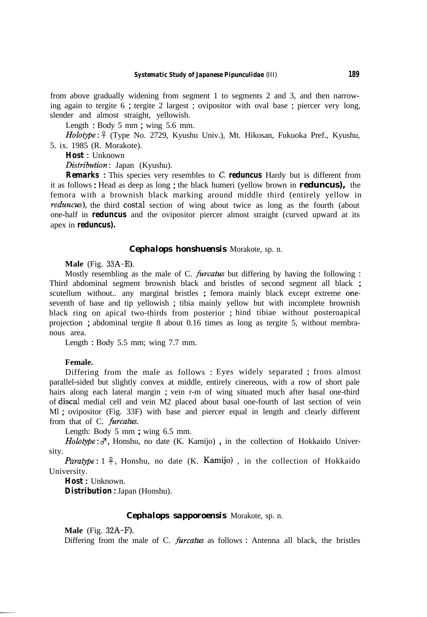from above gradually widening from segment 1 to segments 2 and 3, and then narrowing again to tergite 6 ; tergite 2 largest ; ovipositor with oval base ; piercer very long, slender and almost straight, yellowish.

Length : Body 5 mm ; wing 5.6 mm.

*Holotype* : 8 (Type No. 2729, Kyushu Univ.), Mt. Hikosan, Fukuoka Pref., Kyushu, 5. ix. 1985 (R. Morakote).

*Host* : Unknown

Distribution: Japan (Kyushu).

*Remarks* : This species very resembles to C. *reduncus* Hardy but is different from it as follows : Head as deep as long ; the black humeri (yellow brown in *reduncus),* the femora with a brownish black marking around middle third (entirely yellow in *reduncus*), the third costal section of wing about twice as long as the fourth (about one-half in *reduncus* and the ovipositor piercer almost straight (curved upward at its apex in *reduncus).*

#### *Cephalops honshuensis* Morakote, sp. n.

#### **Male** (Fig. 33A-E).

Mostly resembling as the male of C. *furcatus* but differing by having the following : Third abdominal segment brownish black and bristles of second segment all black ; scutellum without.. any marginal bristles ; femora mainly black except extreme oneseventh of base and tip yellowish ; tibia mainly yellow but with incomplete brownish black ring on apical two-thirds from posterior ; hind tibiae without posteroapical projection ; abdominal tergite 8 about 0.16 times as long as tergite 5, without membranous area.

Length : Body 5.5 mm; wing 7.7 mm.

#### **Female.**

Differing from the male as follows : Eyes widely separated ; frons almost parallel-sided but slightly convex at middle, entirely cinereous, with a row of short pale hairs along each lateral margin ; vein r-m of wing situated much after basal one-third of discal medial cell and vein M2 placed about basal one-fourth of last section of vein Ml ; ovipositor (Fig. 33F) with base and piercer equal in length and clearly different from that of C. *furcatus.*

Length: Body 5 mm ; wing 6.5 mm.

 $Holotype: \mathcal{J}$ , Honshu, no date (K. Kamijo), in the collection of Hokkaido University.

*Paratype*:  $1 \nvert 9$ , Honshu, no date (K. Kamijo), in the collection of Hokkaido University.

*Host* : Unknown.

*Distribution* : Japan (Honshu).

#### *Cephalops sapporoensis* Morakote, sp. n.

**Male** (Fig. 32A-F).

Differing from the male of C. *furcatus* as follows : Antenna all black, the bristles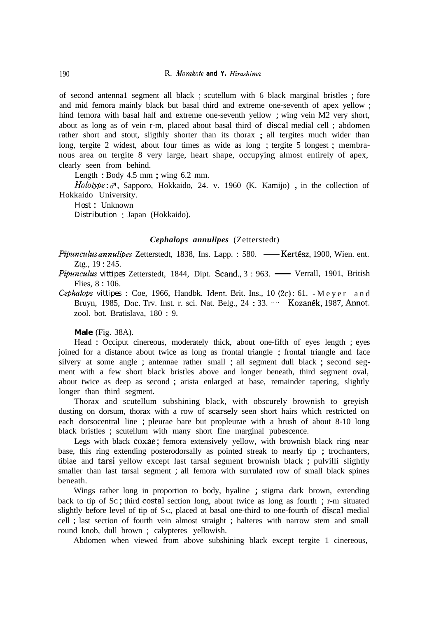of second antenna1 segment all black ; scutellum with 6 black marginal bristles ; fore and mid femora mainly black but basal third and extreme one-seventh of apex yellow ; hind femora with basal half and extreme one-seventh yellow ; wing vein M2 very short, about as long as of vein r-m, placed about basal third of discal medial cell ; abdomen rather short and stout, sligthly shorter than its thorax ; all tergites much wider than long, tergite 2 widest, about four times as wide as long ; tergite 5 longest ; membranous area on tergite 8 very large, heart shape, occupying almost entirely of apex, clearly seen from behind.

Length : Body 4.5 mm ; wing 6.2 mm.

*Holotype* :  $\sigma$ , Sapporo, Hokkaido, 24. v. 1960 (K. Kamijo), in the collection of Hokkaido University.

*Host* : Unknown *Distribution* : Japan (Hokkaido).

#### *Cephalops annulipes* (Zetterstedt)

*Cephalops annulipes* (Zetterstedt)<br>*Pipunculus annulipes* Zetterstedt, 1838, Ins. Lapp. : 580. — Kertész, 1900, Wien. ent.<br>Ztg., 19 : 245. Ztg., 19 : 245. *Pipunculus annulipes Zetterstedt, 1838, Ins. Lapp.* : 580. — Kertész, 1900, Wien. ent.<br> *Ztg., 19:245.*<br> *Pipunculus vittipes Zetterstedt, 1844, Dipt. Scand., 3 : 963.* — Verrall, 1901, British<br>
Flies. 8 : 106.

Flies, 8 : 106. Pipunculus vittipes Zetterstedt, 1844, Dipt. Scand., 3: 963. — Verrall, 1901, British<br>Flies, 8: 106.<br>Cephalops vittipes : Coe, 1966, Handbk. Ident. Brit. Ins., 10 (2c): 61. - M e y e r and<br>Bruyn, 1985, Doc. Trv. Inst. r. s

Cephalops vittipes : Coe, 1966, Handbk. Ident. Brit. Ins., 10 (2c): 61. - Meyer and zool. bot. Bratislava, 180 : 9.

**Male** (Fig. 38A).

Head : Occiput cinereous, moderately thick, about one-fifth of eyes length ; eyes joined for a distance about twice as long as frontal triangle ; frontal triangle and face silvery at some angle ; antennae rather small ; all segment dull black ; second segment with a few short black bristles above and longer beneath, third segment oval, about twice as deep as second ; arista enlarged at base, remainder tapering, slightly longer than third segment.

Thorax and scutellum subshining black, with obscurely brownish to greyish dusting on dorsum, thorax with a row of scarsely seen short hairs which restricted on each dorsocentral line ; pleurae bare but propleurae with a brush of about 8-10 long black bristles ; scutellum with many short fine marginal pubescence.

Legs with black coxae; femora extensively yellow, with brownish black ring near base, this ring extending posterodorsally as pointed streak to nearly tip ; trochanters, tibiae and tarsi yellow except last tarsal segment brownish black ; pulvilli slightly smaller than last tarsal segment ; all femora with surrulated row of small black spines beneath.

Wings rather long in proportion to body, hyaline ; stigma dark brown, extending back to tip of SC ; third costal section long, about twice as long as fourth ; r-m situated slightly before level of tip of SC, placed at basal one-third to one-fourth of discal medial cell ; last section of fourth vein almost straight ; halteres with narrow stem and small round knob, dull brown ; calypteres yellowish.

Abdomen when viewed from above subshining black except tergite 1 cinereous,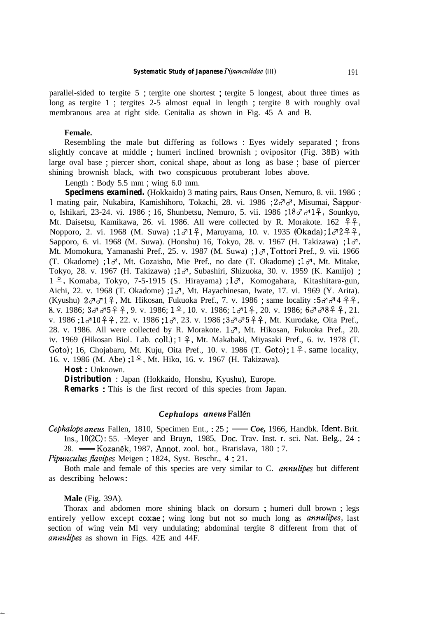parallel-sided to tergite 5 ; tergite one shortest ; tergite 5 longest, about three times as long as tergite 1 ; tergites 2-5 almost equal in length ; tergite 8 with roughly oval membranous area at right side. Genitalia as shown in Fig. 45 A and B.

#### **Female.**

Resembling the male but differing as follows: Eyes widely separated ; frons slightly concave at middle ; humeri inclined brownish ; ovipositor (Fig. 38B) with large oval base ; piercer short, conical shape, about as long as base ; base of piercer shining brownish black, with two conspicuous protuberant lobes above.

Length : Body 5.5 mm ; wing 6.0 mm.

**Specimens examined.** (Hokkaido) 3 mating pairs, Raus Onsen, Nemuro, 8. vii. 1986; 1 mating pair, Nukabira, Kamishihoro, Tokachi, 28. vi. 1986 ;  $2 \sigma \sigma$ , Misumai, Sapporo, Ishikari, 23-24. vi. 1986 ; 16, Shunbetsu, Nemuro, 5. vii. 1986 ;  $18 \sigma \sigma 1\frac{9}{7}$ , Sounkyo, Mt. Daisetsu, Kamikawa, 26. vi. 1986. All were collected by R. Morakote. 162  $\hat{P}$ ? Nopporo, 2. vi. 1968 (M. Suwa) ;  $1\sigma^{1}\hat{P}$ , Maruyama, 10. v. 1935 (Okada) ;  $1\sigma^{2}\hat{P}$  $\hat{P}$ , Sapporo, 6. vi. 1968 (M. Suwa). (Honshu) 16, Tokyo, 28. v. 1967 (H. Takizawa) ;  $1\sigma$ , Mt. Momokura, Yamanashi Pref., 25. v. 1987 (M. Suwa) ; 13, Tottori Pref., 9. vii. 1966 (T. Okadome) ;  $1\sigma$ , Mt. Gozaisho, Mie Pref., no date (T. Okadome) ;  $1\sigma$ , Mt. Mitake, Tokyo, 28. v. 1967 (H. Takizawa) ; 1%, Subashiri, Shizuoka, 30. v. 1959 (K. Kamijo) ; 1  $\hat{+}$ , Komaba, Tokyo, 7-5-1915 (S. Hirayama) ; 1 $\sigma$ , Komogahara, Kitashitara-gun, Aichi, 22. v. 1968 (T. Okadome) ;  $1\sigma$ , Mt. Hayachinesan, Iwate, 17. vi. 1969 (Y. Arita). (Kyushu)  $2 \sigma \sigma 1 \hat{+}$ , Mt. Hikosan, Fukuoka Pref., 7. v. 1986 ; same locality :  $5 \sigma \sigma 4 \hat{+} 2 \hat{+}$ , 8. v. 1986;  $3\sigma\sigma5$   $2 + 9$ , 9. v. 1986; 1 $2$ , 10. v. 1986;  $1\sigma1$  $2$ , 20. v. 1986;  $6\sigma\sigma8$  $2 + 21$ . v. 1986 ; 1310  $24$ , 22. v. 1986 ; 13, v. 1986 ; 333 5  $25$ , Mt. Kurodake, Oita Pref., 28. v. 1986. All were collected by R. Morakote.  $1\sigma$ , Mt. Hikosan, Fukuoka Pref., 20. iv. 1969 (Hikosan Biol. Lab. coll.); 1 <del>?</del>, Mt. Makabaki, Miyasaki Pref., 6. iv. 1978 (T. Goto); 16, Chojabaru, Mt. Kuju, Oita Pref., 10. v. 1986 (T. Goto);  $1 \frac{9}{5}$ , same locality, 16. v. 1986 (M. Abe) ; 1 º, Mt. Hiko, 16. v. 1967 (H. Takizawa).

*Host* : Unknown.

*Distribution* : Japan (Hokkaido, Honshu, Kyushu), Europe.

*Remarks* : This is the first record of this species from Japan.

#### *Cephalops anew* Fallen

Cephulops *anew* Fallen, 1810, Specimen Ent., : 25 *; - Coe,* 1966, Handbk. Ident. Brit. Ins., lO(2C) : 55. -Meyer and Bruyn, 1985, Dot. Trav. Inst. r. sci. Nat. Belg., 24 : 28. - Kozanék, 1987, Annot. zool. bot., Bratislava, 180 : 7.

*Pipuncuhs fivipes* Meigen : 1824, Syst. Beschr., 4 : 21.

Both male and female of this species are very similar to C. *annulipes* but different as describing belows :

**Male** (Fig. 39A).

Thorax and abdomen more shining black on dorsurn ; humeri dull brown ; legs entirely yellow except coxae; wing long but not so much long as *annulipes*, last section of wing vein Ml very undulating; abdominal tergite 8 different from that of *annulipes* as shown in Figs. 42E and 44F.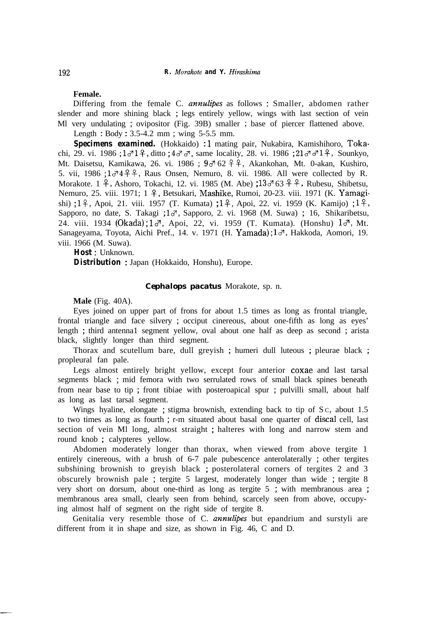#### **Female.**

Differing from the female C. *annulipes* as follows : Smaller, abdomen rather slender and more shining black ; legs entirely yellow, wings with last section of vein Ml very undulating ; ovipositor (Fig. 39B) smaller ; base of piercer flattened above.

Length : Body : 3.5-4.2 mm ; wing 5-5.5 mm.

Specimens examined. (Hokkaido) :1 mating pair, Nukabira, Kamishihoro, Tokachi, 29. vi. 1986 ;  $1\sigma^2 1\phi$ , ditto ;  $4\sigma^2 \sigma^2$ , same locality, 28. vi. 1986 ;  $21\sigma^2 \sigma^2 1\phi^2$ , Sounkyo, Mt. Daisetsu, Kamikawa, 26. vi. 1986 ;  $9\sigma$  62  $9\sigma$ , Akankohan, Mt. 0-akan, Kushiro, 5. vii,  $1986$ ;  $1\sigma$ <sup>4</sup>  $2\sigma$ , Raus Onsen, Nemuro, 8. vii. 1986. All were collected by R. Morakote. 1  $\frac{9}{7}$ , Ashoro, Tokachi, 12. vi. 1985 (M. Abe) ;  $13\sigma$  63  $\frac{9}{7}$ , Rubesu, Shibetsu, Nemuro, 25. viii. 1971; 1 <sup>9</sup>, Betsukari, Mashike, Rumoi, 20-23. viii. 1971 (K. Yamagishi) ;  $1\frac{9}{7}$ , Apoi, 21. viii. 1957 (T. Kumata) ;  $1\frac{9}{7}$ , Apoi, 22. vi. 1959 (K. Kamijo) ;  $1\frac{9}{7}$ , Sapporo, no date, S. Takagi ; 1d<sup>7</sup>, Sapporo, 2. vi. 1968 (M. Suwa) ; 16, Shikaribetsu, 24. viii. 1934 (Okada);  $1\sigma$ , Apoi, 22, vi. 1959 (T. Kumata). (Honshu)  $1\sigma$ , Mt. Sanageyama, Toyota, Aichi Pref., 14. v. 1971 (H. Yamada); 13, Hakkoda, Aomori, 19. viii. 1966 (M. Suwa).

*Host* : Unknown.

*Distribution* : Japan (Hokkaido, Honshu), Europe.

#### *Cephalops pacatus* Morakote, sp. n.

**Male** (Fig. 40A).

Eyes joined on upper part of frons for about 1.5 times as long as frontal triangle, frontal triangle and face silvery ; occiput cinereous, about one-fifth as long as eyes' length ; third antenna1 segment yellow, oval about one half as deep as second ; arista black, slightly longer than third segment.

Thorax and scutellum bare, dull greyish ; humeri dull luteous ; pleurae black ; propleural fan pale.

Legs almost entirely bright yellow, except four anterior coxae and last tarsal segments black ; mid femora with two serrulated rows of small black spines beneath from near base to tip ; front tibiae with posteroapical spur ; pulvilli small, about half as long as last tarsal segment.

Wings hyaline, elongate ; stigma brownish, extending back to tip of Sc, about 1.5 to two times as long as fourth ; r-m situated about basal one quarter of discal cell, last section of vein Ml long, almost straight ; halteres with long and narrow stem and round knob ; calypteres yellow.

Abdomen moderately longer than thorax, when viewed from above tergite 1 entirely cinereous, with a brush of 6-7 pale pubescence anterolaterally ; other tergites subshining brownish to greyish black ; posterolateral corners of tergites 2 and 3 obscurely brownish pale ; tergite 5 largest, moderately longer than wide ; tergite 8 very short on dorsum, about one-third as long as tergite 5 ; with membranous area ; membranous area small, clearly seen from behind, scarcely seen from above, occupying almost half of segment on the right side of tergite 8.

Genitalia very resemble those of C. *annulipes* but epandrium and surstyli are different from it in shape and size, as shown in Fig. 46, C and D.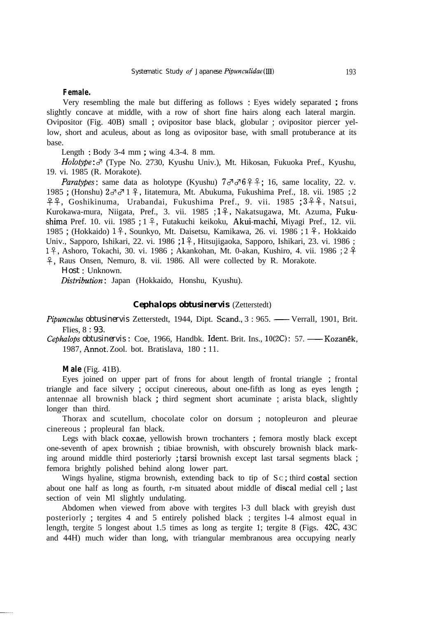#### **Female.**

Very resembling the male but differing as follows : Eyes widely separated ; frons slightly concave at middle, with a row of short fine hairs along each lateral margin. Ovipositor (Fig. 40B) small ; ovipositor base black, globular ; ovipositor piercer yellow, short and aculeus, about as long as ovipositor base, with small protuberance at its base.

Length : Body 3-4 mm ; wing 4.3-4. 8 mm.

Holotype: 3<sup>7</sup> (Type No. 2730, Kyushu Univ.), Mt. Hikosan, Fukuoka Pref., Kyushu, 19. vi. 1985 (R. Morakote).

*Paratypes*: same data as holotype (Kyushu)  $7 \sigma \sigma 6 + 16$ , same locality, 22. v. 1985 ; (Honshu)  $2 \sigma \sigma$  1  $\hat{\tau}$ , Iitatemura, Mt. Abukuma, Fukushima Pref., 18. vii. 1985 ; 2  $94, Goshikinuma, Urabandai, Fukushima Pref., 9. vii. 1985 ; 394, Natsui,$ Kurokawa-mura, Niigata, Pref., 3. vii. 1985 ; 1 º , Nakatsugawa, Mt. Azuma, Fukushima Pref. 10. vii. 1985; 1 $\frac{9}{7}$ , Futakuchi keikoku, Akui-machi, Miyagi Pref., 12. vii. 1985 ; (Hokkaido) 19, Sounkyo, Mt. Daisetsu, Kamikawa, 26. vi. 1986 ; 1 P, Hokkaido Univ., Sapporo, Ishikari, 22. vi. 1986 ;  $1\frac{9}{7}$ , Hitsujigaoka, Sapporo, Ishikari, 23. vi. 1986 ; 18, Ashoro, Tokachi, 30. vi. 1986 ; Akankohan, Mt. 0-akan, Kushiro, 4. vii. 1986 ; 2 \$ p, Raus Onsen, Nemuro, 8. vii. 1986. All were collected by R. Morakote. *Host* : Unknown.

*Disttibution* : Japan (Hokkaido, Honshu, Kyushu).

#### *Cephalops obtusinervis* (Zetterstedt)

*Cephalops obtusinervis* (Zetterstedt)<br>*Pipunculus obtusinervis* Zetterstedt, 1944, Dipt. Scand., 3 : 965. — Verrall, 1901, Brit.<br>Flies. 8 : 93. Flies, 8 *: 93.*<br>Cephalops obtusinervis : Coe, 1966, Handbk. Ident. Brit. Ins., 10(2C): 57. — Kozanék, *Cephalops obtusinervis Zetterstedt, 1944, Dipt. Scand., 3 : 965.* — Verrall, 1901, Brit. Files, 8 : 93.<br> *Cephalops obtusinervis* : Coe, 1966, Handbk. Ident. Brit. Ins., 10(2C) : 57. — Kozanék, 1987. Annot. Zool. bot. Bra

1987, Annot. Zool. bot. Bratislava, 180 : 11.

**Male** (Fig. 41B).

Eyes joined on upper part of frons for about length of frontal triangle ; frontal triangle and face silvery ; occiput cinereous, about one-fifth as long as eyes length ; antennae all brownish black ; third segment short acuminate ; arista black, slightly longer than third.

Thorax and scutellum, chocolate color on dorsum ; notopleuron and pleurae cinereous ; propleural fan black.

Legs with black coxae, yellowish brown trochanters ; femora mostly black except one-seventh of apex brownish ; tibiae brownish, with obscurely brownish black marking around middle third posteriorly ; tarsi brownish except last tarsal segments black ; femora brightly polished behind along lower part.

Wings hyaline, stigma brownish, extending back to tip of  $Sc$ ; third costal section about one half as long as fourth, r-m situated about middle of discal medial cell ; last section of vein Ml slightly undulating.

Abdomen when viewed from above with tergites l-3 dull black with greyish dust posteriorly ; tergites 4 and 5 entirely polished black ; tergites l-4 almost equal in length, tergite 5 longest about 1.5 times as long as tergite 1; tergite 8 (Figs. 42C, 43C and 44H) much wider than long, with triangular membranous area occupying nearly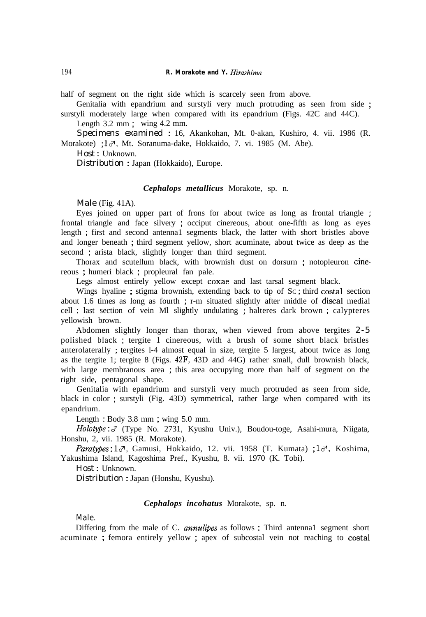half of segment on the right side which is scarcely seen from above.

Genitalia with epandrium and surstyli very much protruding as seen from side ; surstyli moderately large when compared with its epandrium (Figs. 42C and 44C).

Length 3.2 mm ; wing 4.2 mm.

*Specimens examined* : 16, Akankohan, Mt. 0-akan, Kushiro, 4. vii. 1986 (R. Morakote) ;  $1\sigma$ , Mt. Soranuma-dake, Hokkaido, 7. vi. 1985 (M. Abe).

*Host* : Unknown.

*Distribution* : Japan (Hokkaido), Europe.

#### *Cephalops metallicus* Morakote, sp. n.

Male (Fig. 41A).

Eyes joined on upper part of frons for about twice as long as frontal triangle ; frontal triangle and face silvery ; occiput cinereous, about one-fifth as long as eyes length ; first and second antenna1 segments black, the latter with short bristles above and longer beneath ; third segment yellow, short acuminate, about twice as deep as the second ; arista black, slightly longer than third segment.

Thorax and scutellum black, with brownish dust on dorsurn ; notopleuron cinereous ; humeri black ; propleural fan pale.

Legs almost entirely yellow except coxae and last tarsal segment black.

Wings hyaline ; stigma brownish, extending back to tip of SC ; third costal section about 1.6 times as long as fourth ; r-m situated slightly after middle of discal medial cell ; last section of vein Ml slightly undulating ; halteres dark brown ; calypteres yellowish brown.

Abdomen slightly longer than thorax, when viewed from above tergites *2-5* polished black ; tergite 1 cinereous, with a brush of some short black bristles anterolaterally ; tergites l-4 almost equal in size, tergite 5 largest, about twice as long as the tergite 1; tergite 8 (Figs. 42F, 43D and 44G) rather small, dull brownish black, with large membranous area ; this area occupying more than half of segment on the right side, pentagonal shape.

Genitalia with epandrium and surstyli very much protruded as seen from side, black in color ; surstyli (Fig. 43D) symmetrical, rather large when compared with its epandrium.

Length : Body 3.8 mm ; wing 5.0 mm.

*Holotype* : 3 (Type No. 2731, Kyushu Univ.), Boudou-toge, Asahi-mura, Niigata, Honshu, 2, vii. 1985 (R. Morakote).

*Paratypes* : 13, Gamusi, Hokkaido, 12. vii. 1958 (T. Kumata) ; 13, Koshima, Yakushima Island, Kagoshima Pref., Kyushu, 8. vii. 1970 (K. Tobi).

*Host* : Unknown.

*Distribution* : Japan (Honshu, Kyushu).

#### *Cephalops incohatus* Morakote, sp. n.

Male.

Differing from the male of C. *annulipes* as follows : Third antenna1 segment short acuminate ; femora entirely yellow ; apex of subcostal vein not reaching to costal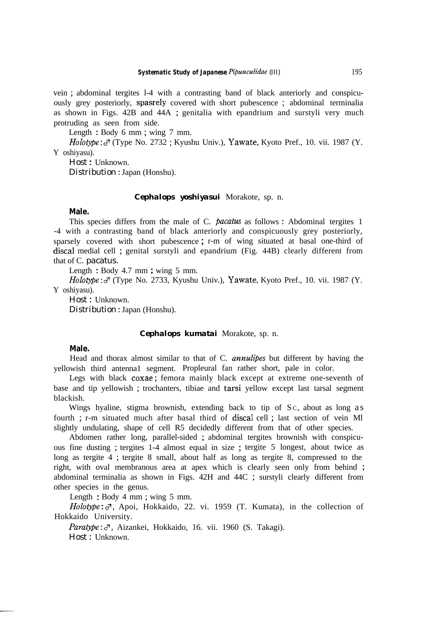vein ; abdominal tergites l-4 with a contrasting band of black anteriorly and conspicuously grey posteriorly, spasrely covered with short pubescence ; abdominal terminalia as shown in Figs. 42B and 44A ; genitalia with epandrium and surstyli very much protruding as seen from side.

Length : Body 6 mm ; wing 7 mm.

 $Holotype: \mathcal{F}$  (Type No. 2732; Kyushu Univ.), Yawate, Kyoto Pref., 10. vii. 1987 (Y. Y oshiyasu).

*Host* : Unknown. *Distribution* : Japan (Honshu).

#### *Cephalops yoshiyasui* Morakote, sp. n.

#### **Male.**

This species differs from the male of C. *pacatus* as follows : Abdominal tergites 1 -4 with a contrasting band of black anteriorly and conspicuously grey posteriorly, sparsely covered with short pubescence ; r-m of wing situated at basal one-third of discal medial cell ; genital surstyli and epandrium (Fig. 44B) clearly different from that of C. *pacatus.*

Length : Body 4.7 mm ; wing 5 mm.

*Holotype*:  $\sigma$  (Type No. 2733, Kyushu Univ.), Yawate, Kyoto Pref., 10. vii. 1987 (Y. Y oshiyasu).

*Host* : Unknown.

*Distribution* : Japan (Honshu).

#### *Cephalops kumatai* Morakote, sp. n.

### **Male.**

Head and thorax almost similar to that of C. *annulipes* but different by having the yellowish third antenna1 segment. Propleural fan rather short, pale in color.

Legs with black coxae; femora mainly black except at extreme one-seventh of base and tip yellowish ; trochanters, tibiae and tarsi yellow except last tarsal segment blackish.

Wings hyaline, stigma brownish, extending back to tip of Sc, about as long as fourth ; r-m situated much after basal third of discal cell ; last section of vein Ml slightly undulating, shape of cell R5 decidedly different from that of other species.

Abdomen rather long, parallel-sided ; abdominal tergites brownish with conspicuous fine dusting ; tergites 1-4 almost equal in size ; tergite 5 longest, about twice as long as tergite 4 ; tergite 8 small, about half as long as tergite 8, compressed to the right, with oval membranous area at apex which is clearly seen only from behind ; abdominal terminalia as shown in Figs. 42H and 44C ; surstyli clearly different from other species in the genus.

Length : Body 4 mm ; wing 5 mm.

 $Holotype: \mathcal{J}$ , Apoi, Hokkaido, 22. vi. 1959 (T. Kumata), in the collection of Hokkaido University.

Paratype:  $\sigma$ , Aizankei, Hokkaido, 16. vii. 1960 (S. Takagi). *Host* : Unknown.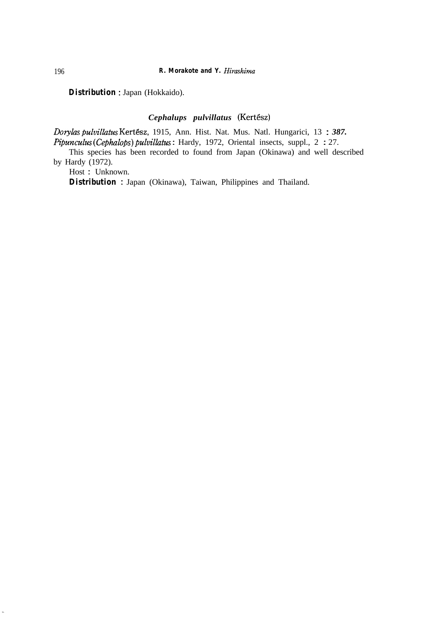*Distribution* : Japan (Hokkaido).

# *Cephalups pulvillatus (KertGsz)*

*Do&as pulvillatus* Kert&z, 1915, Ann. Hist. Nat. Mus. Natl. Hungarici, 13 : *387. Pipunculus* (*Cephalops*) *pulvillatus* : Hardy, 1972, Oriental insects, suppl., 2 : 27.

This species has been recorded to found from Japan (Okinawa) and well described by Hardy (1972).

Host : Unknown.

**Distribution** : Japan (Okinawa), Taiwan, Philippines and Thailand.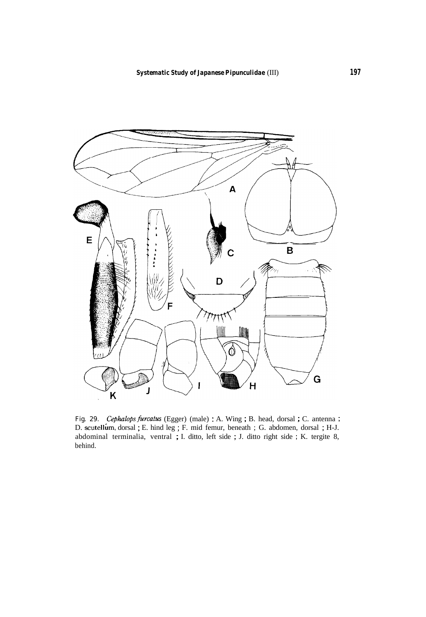

Fig. 29. *Cephulops furcatus* (Egger) (male) : A. Wing ; B. head, dorsal ; C. antenna ; D. scutellum, dorsal ; E. hind leg ; F. mid femur, beneath ; G. abdomen, dorsal ; H-J. abdominal terminalia, ventral ; I. ditto, left side ; J. ditto right side ; K. tergite 8, behind.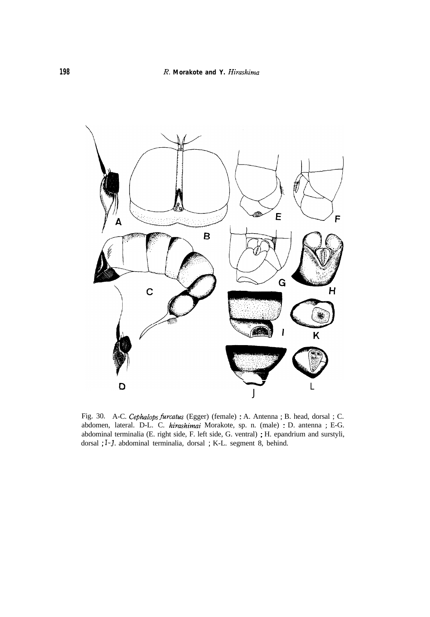

Fig. 30. A-C. *Cephulops fwcatus* (Egger) (female) : A. Antenna ; B. head, dorsal ; C. abdomen, lateral. D-L. C. *hirashimai* Morakote, sp. n. (male) : D. antenna ; E-G. abdominal terminalia (E. right side, F. left side, G. ventral) ; H. epandrium and surstyli, dorsal ; I-J. abdominal terminalia, dorsal ; K-L. segment 8, behind.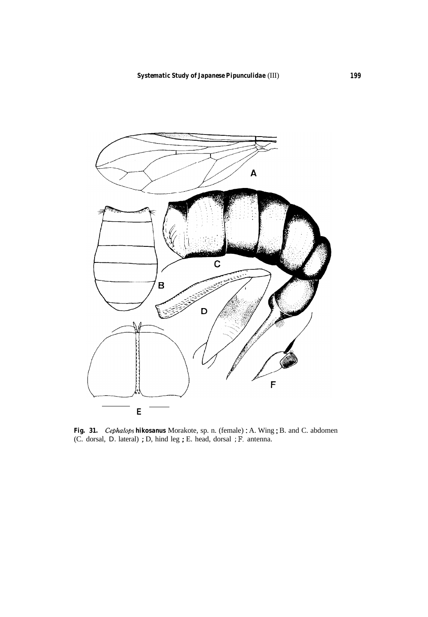

*Fig. 31. Cephalops hikosanus* Morakote, sp. n. (female) : A. Wing ; B. and C. abdomen (C. dorsal, D. lateral) ; D, hind leg ; E. head, dorsal ; F. antenna.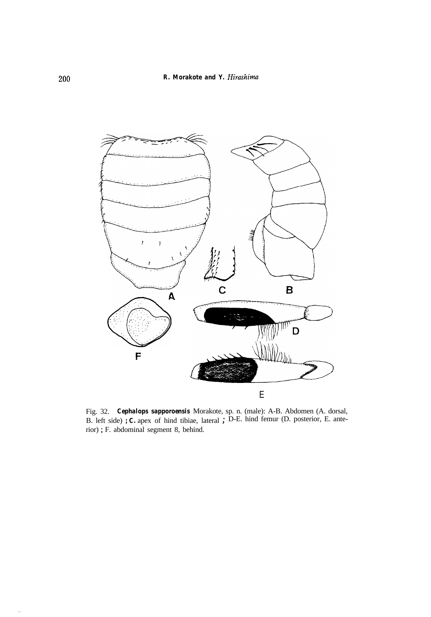

Fig. 32. *Cephalops sapporoensis* Morakote, sp. n. (male): A-B. Abdomen (A. dorsal, B. left side) ; **C.** apex of hind tibiae, lateral ; D-E. hind femur (D. posterior, E. anterior) ; F. abdominal segment 8, behind.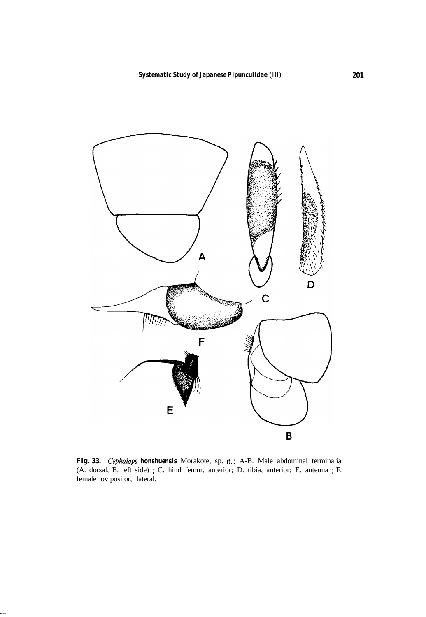

**Fig. 33.** *Cephulops honshuensis* Morakote, sp. n. : A-B. Male abdominal terminalia (A. dorsal, B. left side) ; C. hind femur, anterior; D. tibia, anterior; E. antenna ; F. female ovipositor, lateral.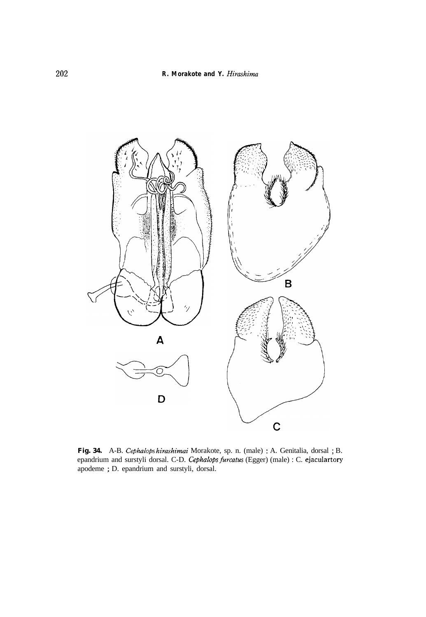

Fig. 34. A-B. Cephalops hirashimai Morakote, sp. n. (male) : A. Genitalia, dorsal ; B. epandrium and surstyli dorsal. C-D. *Cephulops fwcatus* (Egger) (male) : C. ejaculartory apodeme ; D. epandrium and surstyli, dorsal.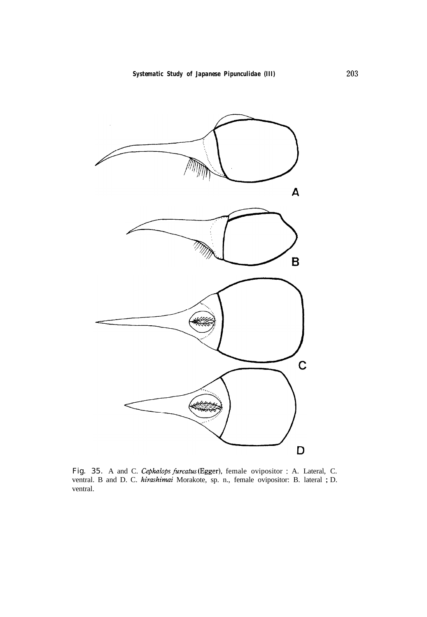

Fig. 35. A and C. Cephalops *furcatxs* (Egger), female ovipositor : A. Lateral, C. ventral. B and D. C. *hirashimai* Morakote, sp. n., female ovipositor: B. lateral ; D. ventral.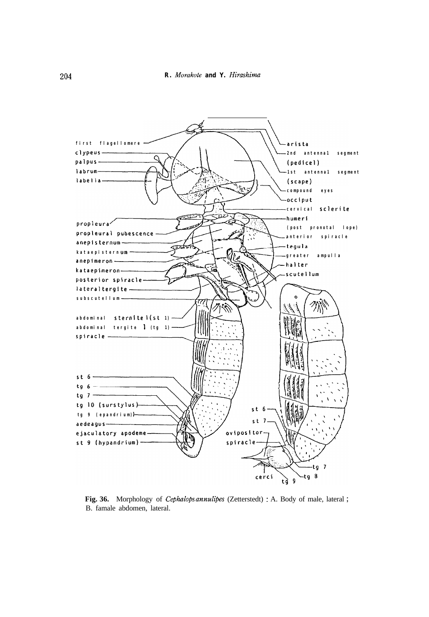

**Fig. 36.** Morphology of *Cephalops* annulipes (Zetterstedt) : A. Body of male, lateral ; B. famale abdomen, lateral.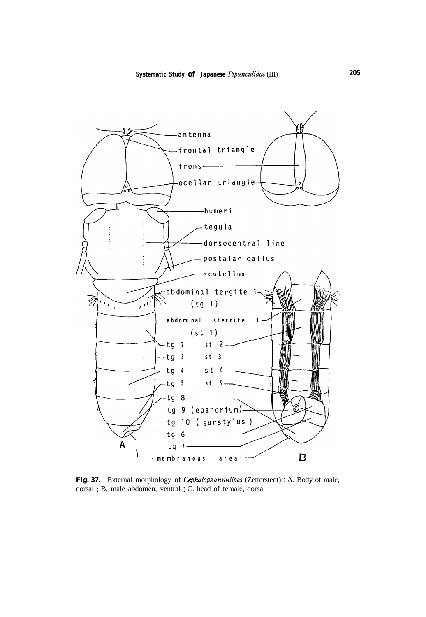

**Fig. 37.** External morphology of Cephalops *annulipes* (Zetterstedt) : A. Body of male, dorsal ; B. male abdomen, ventral ; C. head of female, dorsal.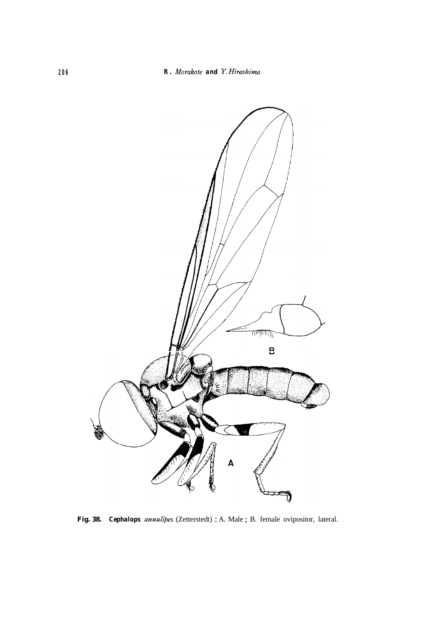

**Fig. 38.** *Cephalops annulipes* (Zetterstedt) : A. Male ; B. female ovipositor, lateral.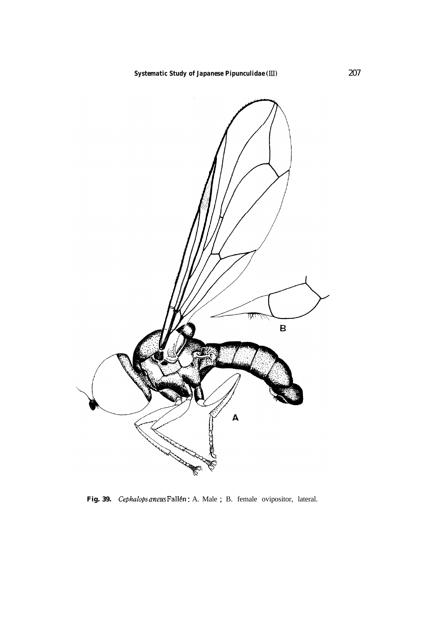

Fig. 39. *Cephalops aneus* Fallén: A. Male; B. female ovipositor, lateral.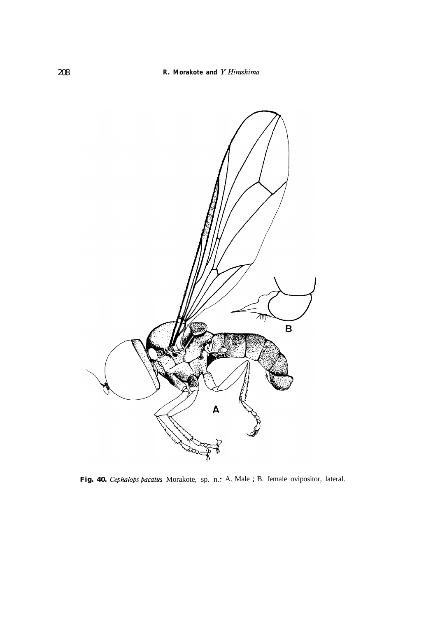

Fig. 40. *Cephalops pacatus* Morakote, sp. n.: A. Male ; B. female ovipositor, lateral.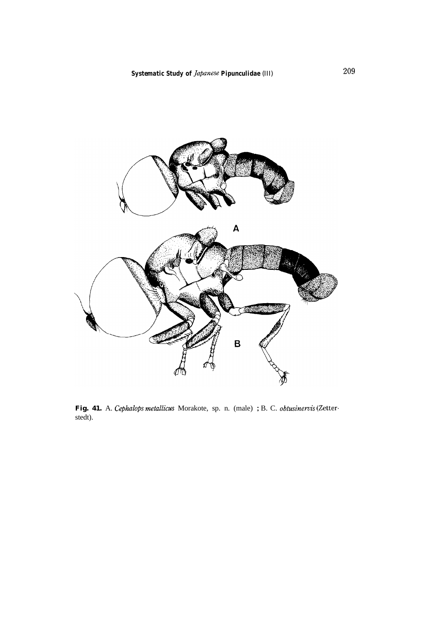

**Fig. 41.** A. Cephalops *metallicus* Morakote, sp. n. (male) ; B. C. *obtusinervis* (Zetterstedt).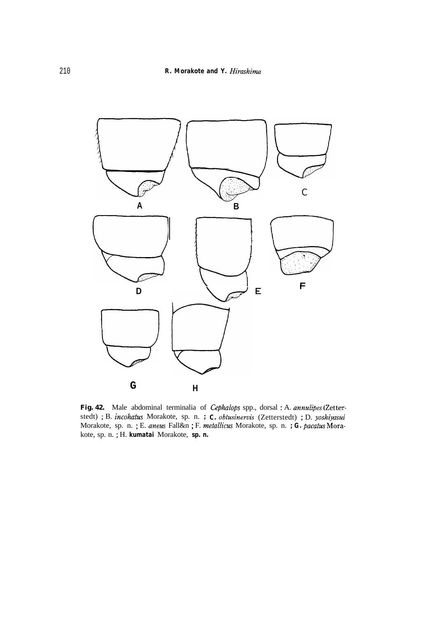

**Fig. 42.** Male abdominal terminalia of Cephulops spp., dorsal : A. *annulipes* (Zetterstedt) ; B. *incohutus* Morakote, sp. n. *; C. obtusinemis* (Zetterstedt) ; D. *yoshijusui* Morakote, sp. n. ; E. *aneus* Fall&n ; F. *metallicus* Morakote, sp. n. *; G. pacatus* Morakote, sp. n. ; H. *kumatai* Morakote, *sp. n.*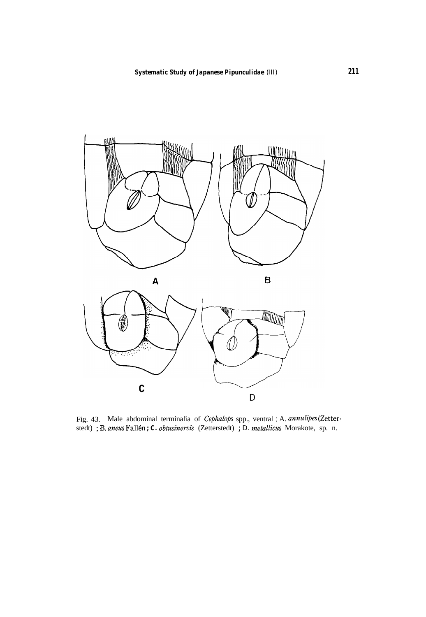



Fig. 43. Male abdominal terminalia of *Cephulops* spp., ventral : A. *annulipes* (Zetterstedt) ; B. aneus Fallén ; C. obtusinervis (Zetterstedt) ; D. metallicus Morakote, sp. n.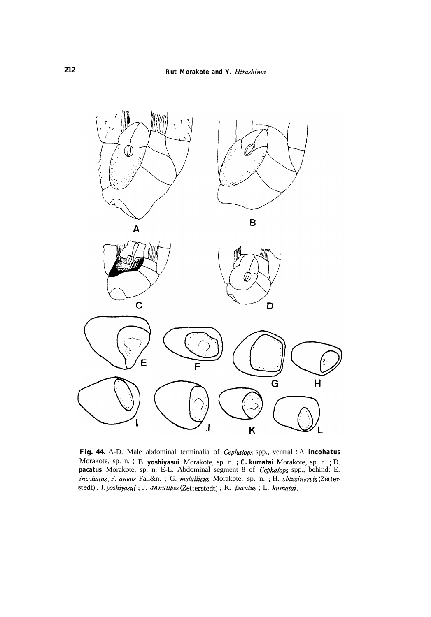

**Fig. 44.** A-D. Male abdominal terminalia of Cephalops spp., ventral : A. *incohatus* Morakote, sp. n. ; B. *yoshiyasui* Morakote, sp. n. *; C. kumatai* Morakote, sp. n. ; D. *pacatus* Morakote, sp. n. E-L. Abdominal segment 8 of Cephalops spp., behind: E. *incohatus,* F. *anexs* Fall&n. ; G. metallicus Morakote, sp. n. ; H. *obtusineruis* (Zetterstedt) ; I. *yoshijasui* ; J. *annulipes* (Zetterstedt) ; K. *pacatus* ; L. *kumatai.*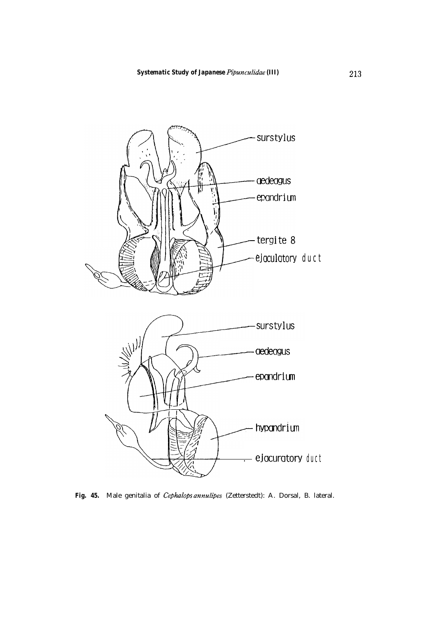

Fig. 45. Male genitalia of *Cephalops annulipes* (Zetterstedt): A. Dorsal, B. lateral.